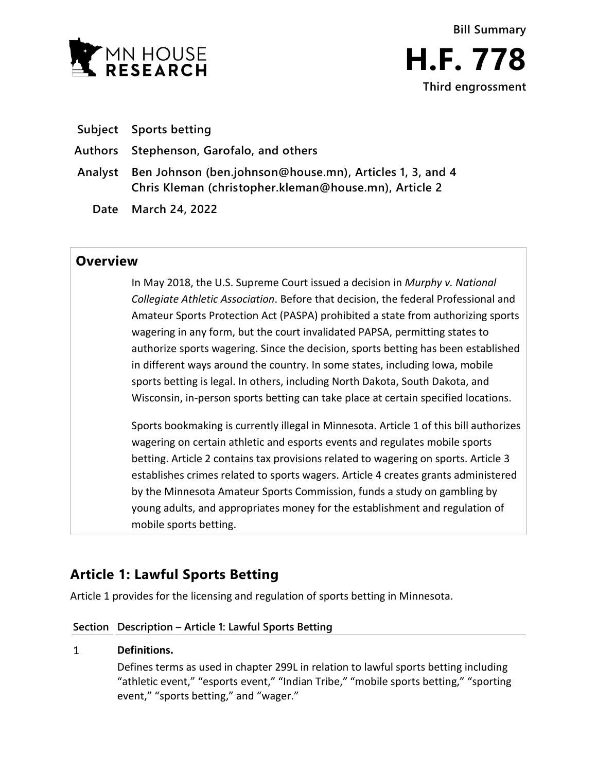



- **Subject Sports betting**
- **Authors Stephenson, Garofalo, and others**
- **Analyst Ben Johnson (ben.johnson@house.mn), Articles 1, 3, and 4 Chris Kleman (christopher.kleman@house.mn), Article 2**
	- **Date March 24, 2022**

# **Overview**

In May 2018, the U.S. Supreme Court issued a decision in *Murphy v. National Collegiate Athletic Association*. Before that decision, the federal Professional and Amateur Sports Protection Act (PASPA) prohibited a state from authorizing sports wagering in any form, but the court invalidated PAPSA, permitting states to authorize sports wagering. Since the decision, sports betting has been established in different ways around the country. In some states, including Iowa, mobile sports betting is legal. In others, including North Dakota, South Dakota, and Wisconsin, in-person sports betting can take place at certain specified locations.

Sports bookmaking is currently illegal in Minnesota. Article 1 of this bill authorizes wagering on certain athletic and esports events and regulates mobile sports betting. Article 2 contains tax provisions related to wagering on sports. Article 3 establishes crimes related to sports wagers. Article 4 creates grants administered by the Minnesota Amateur Sports Commission, funds a study on gambling by young adults, and appropriates money for the establishment and regulation of mobile sports betting.

# **Article 1: Lawful Sports Betting**

Article 1 provides for the licensing and regulation of sports betting in Minnesota.

# **Section Description – Article 1: Lawful Sports Betting**

## $\mathbf{1}$ **Definitions.**

Defines terms as used in chapter 299L in relation to lawful sports betting including "athletic event," "esports event," "Indian Tribe," "mobile sports betting," "sporting event," "sports betting," and "wager."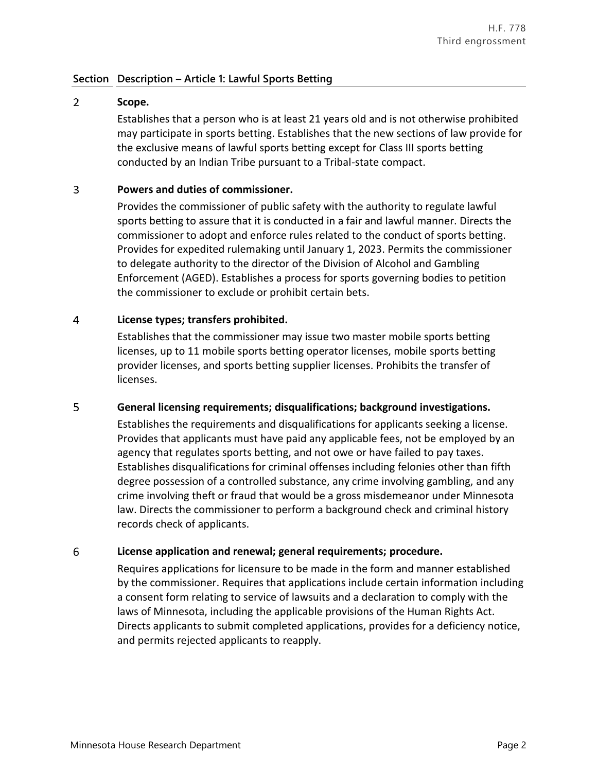# $\overline{2}$ **Scope.**

Establishes that a person who is at least 21 years old and is not otherwise prohibited may participate in sports betting. Establishes that the new sections of law provide for the exclusive means of lawful sports betting except for Class III sports betting conducted by an Indian Tribe pursuant to a Tribal-state compact.

#### $\overline{3}$ **Powers and duties of commissioner.**

Provides the commissioner of public safety with the authority to regulate lawful sports betting to assure that it is conducted in a fair and lawful manner. Directs the commissioner to adopt and enforce rules related to the conduct of sports betting. Provides for expedited rulemaking until January 1, 2023. Permits the commissioner to delegate authority to the director of the Division of Alcohol and Gambling Enforcement (AGED). Establishes a process for sports governing bodies to petition the commissioner to exclude or prohibit certain bets.

## $\overline{4}$ **License types; transfers prohibited.**

Establishes that the commissioner may issue two master mobile sports betting licenses, up to 11 mobile sports betting operator licenses, mobile sports betting provider licenses, and sports betting supplier licenses. Prohibits the transfer of licenses.

# 5 **General licensing requirements; disqualifications; background investigations.**

Establishes the requirements and disqualifications for applicants seeking a license. Provides that applicants must have paid any applicable fees, not be employed by an agency that regulates sports betting, and not owe or have failed to pay taxes. Establishes disqualifications for criminal offenses including felonies other than fifth degree possession of a controlled substance, any crime involving gambling, and any crime involving theft or fraud that would be a gross misdemeanor under Minnesota law. Directs the commissioner to perform a background check and criminal history records check of applicants.

## 6 **License application and renewal; general requirements; procedure.**

Requires applications for licensure to be made in the form and manner established by the commissioner. Requires that applications include certain information including a consent form relating to service of lawsuits and a declaration to comply with the laws of Minnesota, including the applicable provisions of the Human Rights Act. Directs applicants to submit completed applications, provides for a deficiency notice, and permits rejected applicants to reapply.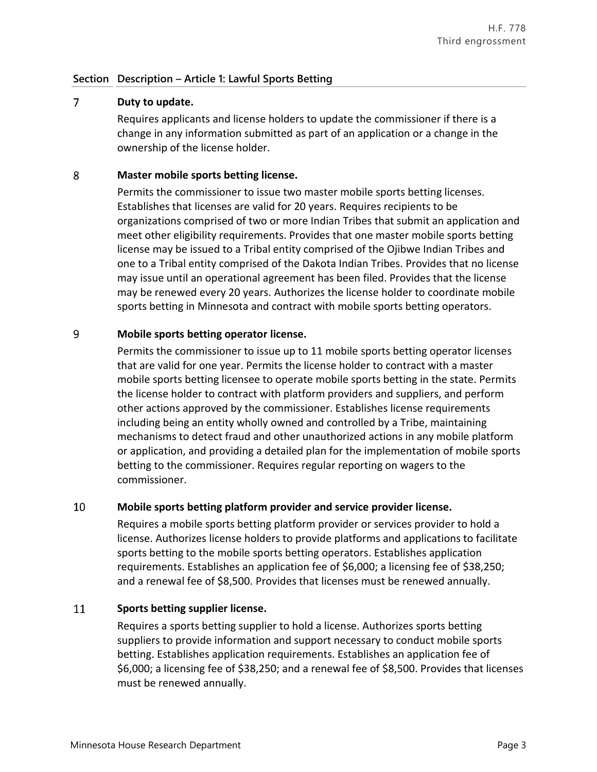# $\overline{7}$ **Duty to update.**

Requires applicants and license holders to update the commissioner if there is a change in any information submitted as part of an application or a change in the ownership of the license holder.

## 8 **Master mobile sports betting license.**

Permits the commissioner to issue two master mobile sports betting licenses. Establishes that licenses are valid for 20 years. Requires recipients to be organizations comprised of two or more Indian Tribes that submit an application and meet other eligibility requirements. Provides that one master mobile sports betting license may be issued to a Tribal entity comprised of the Ojibwe Indian Tribes and one to a Tribal entity comprised of the Dakota Indian Tribes. Provides that no license may issue until an operational agreement has been filed. Provides that the license may be renewed every 20 years. Authorizes the license holder to coordinate mobile sports betting in Minnesota and contract with mobile sports betting operators.

# 9 **Mobile sports betting operator license.**

Permits the commissioner to issue up to 11 mobile sports betting operator licenses that are valid for one year. Permits the license holder to contract with a master mobile sports betting licensee to operate mobile sports betting in the state. Permits the license holder to contract with platform providers and suppliers, and perform other actions approved by the commissioner. Establishes license requirements including being an entity wholly owned and controlled by a Tribe, maintaining mechanisms to detect fraud and other unauthorized actions in any mobile platform or application, and providing a detailed plan for the implementation of mobile sports betting to the commissioner. Requires regular reporting on wagers to the commissioner.

## 10 **Mobile sports betting platform provider and service provider license.**

Requires a mobile sports betting platform provider or services provider to hold a license. Authorizes license holders to provide platforms and applications to facilitate sports betting to the mobile sports betting operators. Establishes application requirements. Establishes an application fee of \$6,000; a licensing fee of \$38,250; and a renewal fee of \$8,500. Provides that licenses must be renewed annually.

## 11 **Sports betting supplier license.**

Requires a sports betting supplier to hold a license. Authorizes sports betting suppliers to provide information and support necessary to conduct mobile sports betting. Establishes application requirements. Establishes an application fee of \$6,000; a licensing fee of \$38,250; and a renewal fee of \$8,500. Provides that licenses must be renewed annually.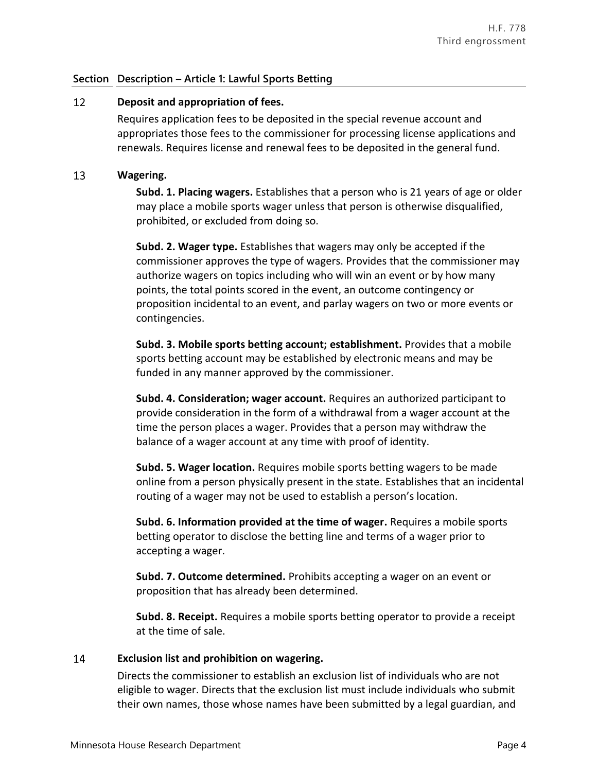# 12 **Deposit and appropriation of fees.**

Requires application fees to be deposited in the special revenue account and appropriates those fees to the commissioner for processing license applications and renewals. Requires license and renewal fees to be deposited in the general fund.

# 13 **Wagering.**

**Subd. 1. Placing wagers.** Establishes that a person who is 21 years of age or older may place a mobile sports wager unless that person is otherwise disqualified, prohibited, or excluded from doing so.

**Subd. 2. Wager type.** Establishes that wagers may only be accepted if the commissioner approves the type of wagers. Provides that the commissioner may authorize wagers on topics including who will win an event or by how many points, the total points scored in the event, an outcome contingency or proposition incidental to an event, and parlay wagers on two or more events or contingencies.

**Subd. 3. Mobile sports betting account; establishment.** Provides that a mobile sports betting account may be established by electronic means and may be funded in any manner approved by the commissioner.

**Subd. 4. Consideration; wager account.** Requires an authorized participant to provide consideration in the form of a withdrawal from a wager account at the time the person places a wager. Provides that a person may withdraw the balance of a wager account at any time with proof of identity.

**Subd. 5. Wager location.** Requires mobile sports betting wagers to be made online from a person physically present in the state. Establishes that an incidental routing of a wager may not be used to establish a person's location.

**Subd. 6. Information provided at the time of wager.** Requires a mobile sports betting operator to disclose the betting line and terms of a wager prior to accepting a wager.

**Subd. 7. Outcome determined.** Prohibits accepting a wager on an event or proposition that has already been determined.

**Subd. 8. Receipt.** Requires a mobile sports betting operator to provide a receipt at the time of sale.

## 14 **Exclusion list and prohibition on wagering.**

Directs the commissioner to establish an exclusion list of individuals who are not eligible to wager. Directs that the exclusion list must include individuals who submit their own names, those whose names have been submitted by a legal guardian, and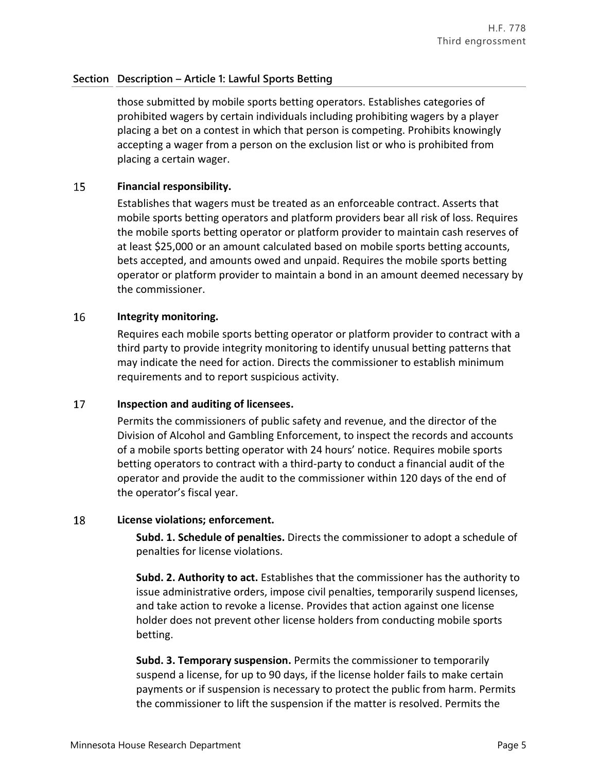those submitted by mobile sports betting operators. Establishes categories of prohibited wagers by certain individuals including prohibiting wagers by a player placing a bet on a contest in which that person is competing. Prohibits knowingly accepting a wager from a person on the exclusion list or who is prohibited from placing a certain wager.

#### 15 **Financial responsibility.**

Establishes that wagers must be treated as an enforceable contract. Asserts that mobile sports betting operators and platform providers bear all risk of loss. Requires the mobile sports betting operator or platform provider to maintain cash reserves of at least \$25,000 or an amount calculated based on mobile sports betting accounts, bets accepted, and amounts owed and unpaid. Requires the mobile sports betting operator or platform provider to maintain a bond in an amount deemed necessary by the commissioner.

#### 16 **Integrity monitoring.**

Requires each mobile sports betting operator or platform provider to contract with a third party to provide integrity monitoring to identify unusual betting patterns that may indicate the need for action. Directs the commissioner to establish minimum requirements and to report suspicious activity.

#### 17 **Inspection and auditing of licensees.**

Permits the commissioners of public safety and revenue, and the director of the Division of Alcohol and Gambling Enforcement, to inspect the records and accounts of a mobile sports betting operator with 24 hours' notice. Requires mobile sports betting operators to contract with a third-party to conduct a financial audit of the operator and provide the audit to the commissioner within 120 days of the end of the operator's fiscal year.

#### 18 **License violations; enforcement.**

**Subd. 1. Schedule of penalties.** Directs the commissioner to adopt a schedule of penalties for license violations.

**Subd. 2. Authority to act.** Establishes that the commissioner has the authority to issue administrative orders, impose civil penalties, temporarily suspend licenses, and take action to revoke a license. Provides that action against one license holder does not prevent other license holders from conducting mobile sports betting.

**Subd. 3. Temporary suspension.** Permits the commissioner to temporarily suspend a license, for up to 90 days, if the license holder fails to make certain payments or if suspension is necessary to protect the public from harm. Permits the commissioner to lift the suspension if the matter is resolved. Permits the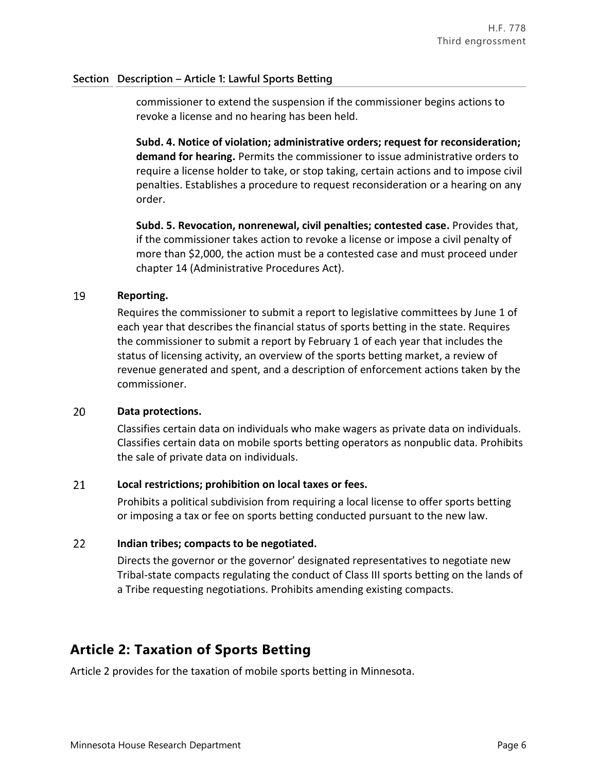commissioner to extend the suspension if the commissioner begins actions to revoke a license and no hearing has been held.

**Subd. 4. Notice of violation; administrative orders; request for reconsideration; demand for hearing.** Permits the commissioner to issue administrative orders to require a license holder to take, or stop taking, certain actions and to impose civil penalties. Establishes a procedure to request reconsideration or a hearing on any order.

**Subd. 5. Revocation, nonrenewal, civil penalties; contested case.** Provides that, if the commissioner takes action to revoke a license or impose a civil penalty of more than \$2,000, the action must be a contested case and must proceed under chapter 14 (Administrative Procedures Act).

#### 19 **Reporting.**

Requires the commissioner to submit a report to legislative committees by June 1 of each year that describes the financial status of sports betting in the state. Requires the commissioner to submit a report by February 1 of each year that includes the status of licensing activity, an overview of the sports betting market, a review of revenue generated and spent, and a description of enforcement actions taken by the commissioner.

#### 20 **Data protections.**

Classifies certain data on individuals who make wagers as private data on individuals. Classifies certain data on mobile sports betting operators as nonpublic data. Prohibits the sale of private data on individuals.

## 21 **Local restrictions; prohibition on local taxes or fees.**

Prohibits a political subdivision from requiring a local license to offer sports betting or imposing a tax or fee on sports betting conducted pursuant to the new law.

## $22$ **Indian tribes; compacts to be negotiated.**

Directs the governor or the governor' designated representatives to negotiate new Tribal-state compacts regulating the conduct of Class III sports betting on the lands of a Tribe requesting negotiations. Prohibits amending existing compacts.

# **Article 2: Taxation of Sports Betting**

Article 2 provides for the taxation of mobile sports betting in Minnesota.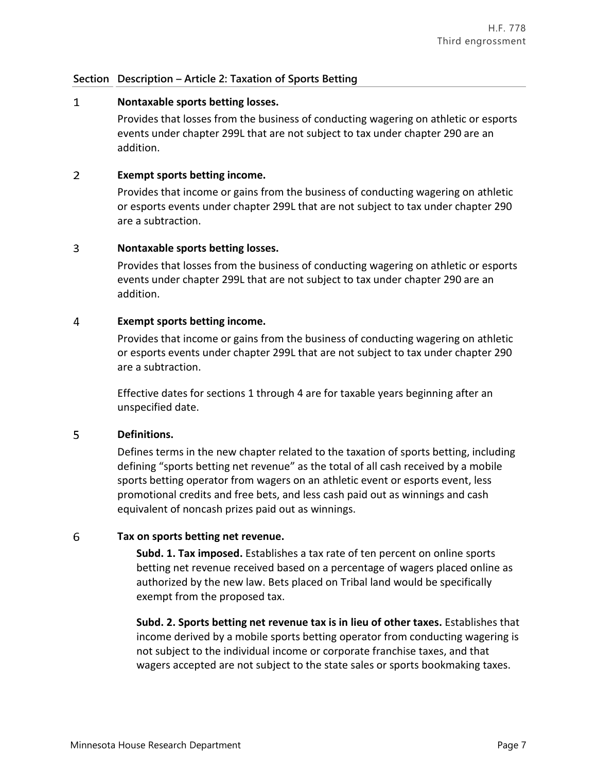# **Section Description – Article 2: Taxation of Sports Betting**

#### $\mathbf{1}$ **Nontaxable sports betting losses.**

Provides that losses from the business of conducting wagering on athletic or esports events under chapter 299L that are not subject to tax under chapter 290 are an addition.

# $\overline{2}$ **Exempt sports betting income.**

Provides that income or gains from the business of conducting wagering on athletic or esports events under chapter 299L that are not subject to tax under chapter 290 are a subtraction.

# $\overline{3}$ **Nontaxable sports betting losses.**

Provides that losses from the business of conducting wagering on athletic or esports events under chapter 299L that are not subject to tax under chapter 290 are an addition.

# $\overline{4}$ **Exempt sports betting income.**

Provides that income or gains from the business of conducting wagering on athletic or esports events under chapter 299L that are not subject to tax under chapter 290 are a subtraction.

Effective dates for sections 1 through 4 are for taxable years beginning after an unspecified date.

# 5 **Definitions.**

Defines terms in the new chapter related to the taxation of sports betting, including defining "sports betting net revenue" as the total of all cash received by a mobile sports betting operator from wagers on an athletic event or esports event, less promotional credits and free bets, and less cash paid out as winnings and cash equivalent of noncash prizes paid out as winnings.

# 6 **Tax on sports betting net revenue.**

**Subd. 1. Tax imposed.** Establishes a tax rate of ten percent on online sports betting net revenue received based on a percentage of wagers placed online as authorized by the new law. Bets placed on Tribal land would be specifically exempt from the proposed tax.

**Subd. 2. Sports betting net revenue tax is in lieu of other taxes.** Establishes that income derived by a mobile sports betting operator from conducting wagering is not subject to the individual income or corporate franchise taxes, and that wagers accepted are not subject to the state sales or sports bookmaking taxes.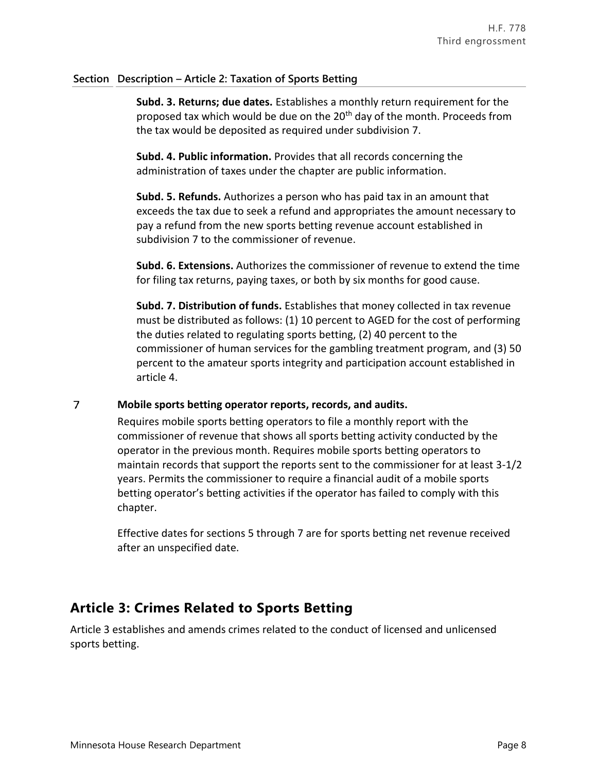# **Section Description – Article 2: Taxation of Sports Betting**

**Subd. 3. Returns; due dates.** Establishes a monthly return requirement for the proposed tax which would be due on the 20<sup>th</sup> day of the month. Proceeds from the tax would be deposited as required under subdivision 7.

**Subd. 4. Public information.** Provides that all records concerning the administration of taxes under the chapter are public information.

**Subd. 5. Refunds.** Authorizes a person who has paid tax in an amount that exceeds the tax due to seek a refund and appropriates the amount necessary to pay a refund from the new sports betting revenue account established in subdivision 7 to the commissioner of revenue.

**Subd. 6. Extensions.** Authorizes the commissioner of revenue to extend the time for filing tax returns, paying taxes, or both by six months for good cause.

**Subd. 7. Distribution of funds.** Establishes that money collected in tax revenue must be distributed as follows: (1) 10 percent to AGED for the cost of performing the duties related to regulating sports betting, (2) 40 percent to the commissioner of human services for the gambling treatment program, and (3) 50 percent to the amateur sports integrity and participation account established in article 4.

 $\overline{7}$ **Mobile sports betting operator reports, records, and audits.**

> Requires mobile sports betting operators to file a monthly report with the commissioner of revenue that shows all sports betting activity conducted by the operator in the previous month. Requires mobile sports betting operators to maintain records that support the reports sent to the commissioner for at least 3-1/2 years. Permits the commissioner to require a financial audit of a mobile sports betting operator's betting activities if the operator has failed to comply with this chapter.

Effective dates for sections 5 through 7 are for sports betting net revenue received after an unspecified date.

# **Article 3: Crimes Related to Sports Betting**

Article 3 establishes and amends crimes related to the conduct of licensed and unlicensed sports betting.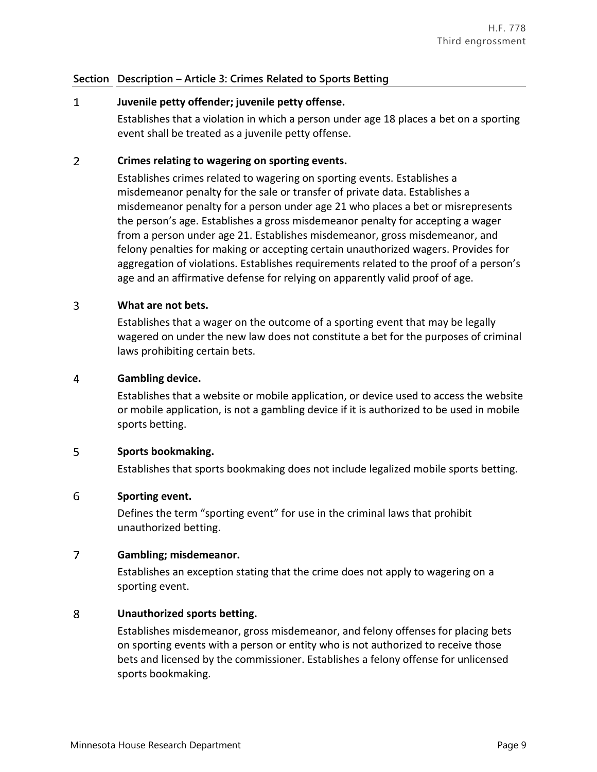# **Section Description – Article 3: Crimes Related to Sports Betting**

# $\mathbf{1}$ **Juvenile petty offender; juvenile petty offense.**

Establishes that a violation in which a person under age 18 places a bet on a sporting event shall be treated as a juvenile petty offense.

# $\overline{2}$ **Crimes relating to wagering on sporting events.**

Establishes crimes related to wagering on sporting events. Establishes a misdemeanor penalty for the sale or transfer of private data. Establishes a misdemeanor penalty for a person under age 21 who places a bet or misrepresents the person's age. Establishes a gross misdemeanor penalty for accepting a wager from a person under age 21. Establishes misdemeanor, gross misdemeanor, and felony penalties for making or accepting certain unauthorized wagers. Provides for aggregation of violations. Establishes requirements related to the proof of a person's age and an affirmative defense for relying on apparently valid proof of age.

# 3 **What are not bets.**

Establishes that a wager on the outcome of a sporting event that may be legally wagered on under the new law does not constitute a bet for the purposes of criminal laws prohibiting certain bets.

## 4 **Gambling device.**

Establishes that a website or mobile application, or device used to access the website or mobile application, is not a gambling device if it is authorized to be used in mobile sports betting.

# 5 **Sports bookmaking.**

Establishes that sports bookmaking does not include legalized mobile sports betting.

# 6 **Sporting event.**

Defines the term "sporting event" for use in the criminal laws that prohibit unauthorized betting.

# $\overline{7}$ **Gambling; misdemeanor.**

Establishes an exception stating that the crime does not apply to wagering on a sporting event.

# 8 **Unauthorized sports betting.**

Establishes misdemeanor, gross misdemeanor, and felony offenses for placing bets on sporting events with a person or entity who is not authorized to receive those bets and licensed by the commissioner. Establishes a felony offense for unlicensed sports bookmaking.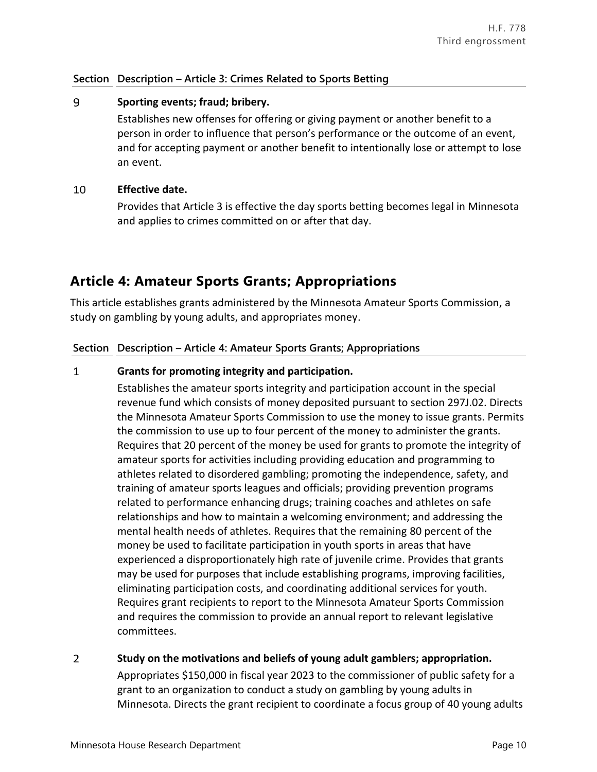# **Section Description – Article 3: Crimes Related to Sports Betting**

# 9 **Sporting events; fraud; bribery.**

Establishes new offenses for offering or giving payment or another benefit to a person in order to influence that person's performance or the outcome of an event, and for accepting payment or another benefit to intentionally lose or attempt to lose an event.

## 10 **Effective date.**

Provides that Article 3 is effective the day sports betting becomes legal in Minnesota and applies to crimes committed on or after that day.

# **Article 4: Amateur Sports Grants; Appropriations**

This article establishes grants administered by the Minnesota Amateur Sports Commission, a study on gambling by young adults, and appropriates money.

# **Section Description – Article 4: Amateur Sports Grants; Appropriations**

## $\mathbf{1}$ **Grants for promoting integrity and participation.**

Establishes the amateur sports integrity and participation account in the special revenue fund which consists of money deposited pursuant to section 297J.02. Directs the Minnesota Amateur Sports Commission to use the money to issue grants. Permits the commission to use up to four percent of the money to administer the grants. Requires that 20 percent of the money be used for grants to promote the integrity of amateur sports for activities including providing education and programming to athletes related to disordered gambling; promoting the independence, safety, and training of amateur sports leagues and officials; providing prevention programs related to performance enhancing drugs; training coaches and athletes on safe relationships and how to maintain a welcoming environment; and addressing the mental health needs of athletes. Requires that the remaining 80 percent of the money be used to facilitate participation in youth sports in areas that have experienced a disproportionately high rate of juvenile crime. Provides that grants may be used for purposes that include establishing programs, improving facilities, eliminating participation costs, and coordinating additional services for youth. Requires grant recipients to report to the Minnesota Amateur Sports Commission and requires the commission to provide an annual report to relevant legislative committees.

# $\overline{2}$ **Study on the motivations and beliefs of young adult gamblers; appropriation.**

Appropriates \$150,000 in fiscal year 2023 to the commissioner of public safety for a grant to an organization to conduct a study on gambling by young adults in Minnesota. Directs the grant recipient to coordinate a focus group of 40 young adults